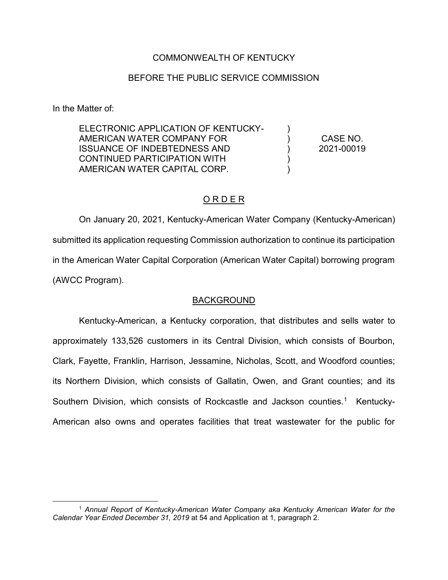## COMMONWEALTH OF KENTUCKY

### BEFORE THE PUBLIC SERVICE COMMISSION

In the Matter of:

| ELECTRONIC APPLICATION OF KENTUCKY- |            |
|-------------------------------------|------------|
| AMERICAN WATER COMPANY FOR          | CASE NO.   |
| <b>ISSUANCE OF INDEBTEDNESS AND</b> | 2021-00019 |
| CONTINUED PARTICIPATION WITH        |            |
| AMERICAN WATER CAPITAL CORP.        |            |
|                                     |            |

### O R D E R

On January 20, 2021, Kentucky-American Water Company (Kentucky-American) submitted its application requesting Commission authorization to continue its participation in the American Water Capital Corporation (American Water Capital) borrowing program (AWCC Program).

#### BACKGROUND

Kentucky-American, a Kentucky corporation, that distributes and sells water to approximately 133,526 customers in its Central Division, which consists of Bourbon, Clark, Fayette, Franklin, Harrison, Jessamine, Nicholas, Scott, and Woodford counties; its Northern Division, which consists of Gallatin, Owen, and Grant counties; and its Southern Division, which consists of Rockcastle and Jackson counties.<sup>1</sup> Kentucky-American also owns and operates facilities that treat wastewater for the public for

 <sup>1</sup> *Annual Report of Kentucky-American Water Company aka Kentucky American Water for the Calendar Year Ended December 31, 2019* at 54 and Application at 1, paragraph 2.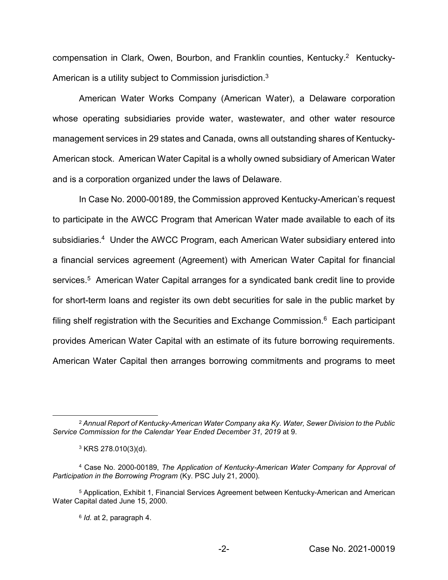compensation in Clark, Owen, Bourbon, and Franklin counties, Kentucky.<sup>2</sup> Kentucky-American is a utility subject to Commission jurisdiction.<sup>3</sup>

American Water Works Company (American Water), a Delaware corporation whose operating subsidiaries provide water, wastewater, and other water resource management services in 29 states and Canada, owns all outstanding shares of Kentucky-American stock. American Water Capital is a wholly owned subsidiary of American Water and is a corporation organized under the laws of Delaware.

In Case No. 2000-00189, the Commission approved Kentucky-American's request to participate in the AWCC Program that American Water made available to each of its subsidiaries. 4 Under the AWCC Program, each American Water subsidiary entered into a financial services agreement (Agreement) with American Water Capital for financial services.<sup>5</sup> American Water Capital arranges for a syndicated bank credit line to provide for short-term loans and register its own debt securities for sale in the public market by filing shelf registration with the Securities and Exchange Commission.<sup>6</sup> Each participant provides American Water Capital with an estimate of its future borrowing requirements. American Water Capital then arranges borrowing commitments and programs to meet

 <sup>2</sup> *Annual Report of Kentucky-American Water Company aka Ky. Water, Sewer Division to the Public Service Commission for the Calendar Year Ended December 31, 2019* at 9.

<sup>3</sup> KRS 278.010(3)(d).

<sup>4</sup> Case No. 2000-00189, *The Application of Kentucky-American Water Company for Approval of Participation in the Borrowing Program* (Ky. PSC July 21, 2000).

<sup>5</sup> Application, Exhibit 1, Financial Services Agreement between Kentucky-American and American Water Capital dated June 15, 2000.

<sup>6</sup> *Id.* at 2, paragraph 4.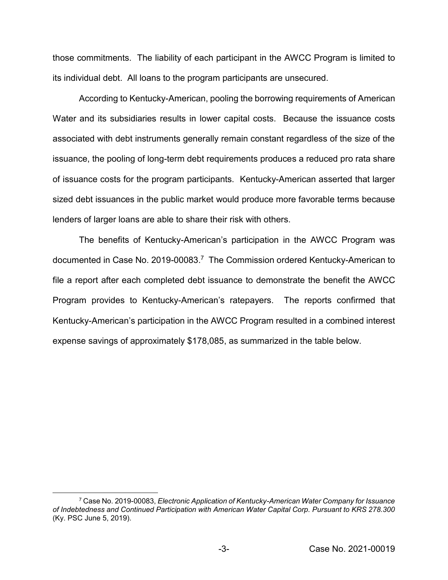those commitments. The liability of each participant in the AWCC Program is limited to its individual debt. All loans to the program participants are unsecured.

According to Kentucky-American, pooling the borrowing requirements of American Water and its subsidiaries results in lower capital costs. Because the issuance costs associated with debt instruments generally remain constant regardless of the size of the issuance, the pooling of long-term debt requirements produces a reduced pro rata share of issuance costs for the program participants. Kentucky-American asserted that larger sized debt issuances in the public market would produce more favorable terms because lenders of larger loans are able to share their risk with others.

The benefits of Kentucky-American's participation in the AWCC Program was documented in Case No. 2019-00083.<sup>7</sup> The Commission ordered Kentucky-American to file a report after each completed debt issuance to demonstrate the benefit the AWCC Program provides to Kentucky-American's ratepayers. The reports confirmed that Kentucky-American's participation in the AWCC Program resulted in a combined interest expense savings of approximately \$178,085, as summarized in the table below.

 <sup>7</sup> Case No. 2019-00083, *Electronic Application of Kentucky-American Water Company for Issuance of Indebtedness and Continued Participation with American Water Capital Corp. Pursuant to KRS 278.300* (Ky. PSC June 5, 2019).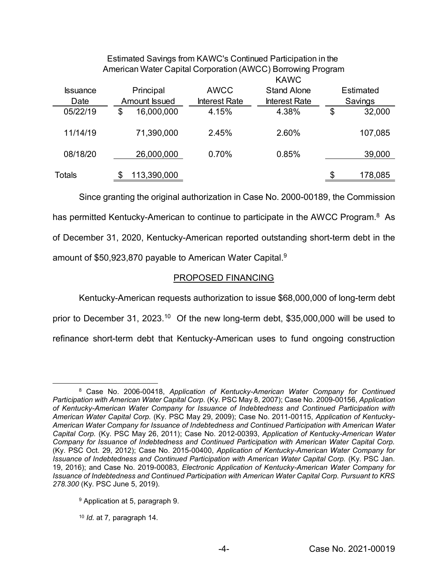| American Water Capital Corporation (AWCC) Borrowing Program |    |               |                      |                      |           |         |  |
|-------------------------------------------------------------|----|---------------|----------------------|----------------------|-----------|---------|--|
|                                                             |    |               |                      | <b>KAWC</b>          |           |         |  |
| <b>Issuance</b>                                             |    | Principal     | <b>AWCC</b>          | <b>Stand Alone</b>   | Estimated |         |  |
| Date                                                        |    | Amount Issued | <b>Interest Rate</b> | <b>Interest Rate</b> |           | Savings |  |
| 05/22/19                                                    | \$ | 16,000,000    | 4.15%                | 4.38%                | \$        | 32,000  |  |
| 11/14/19                                                    |    | 71,390,000    | 2.45%                | 2.60%                |           | 107,085 |  |
| 08/18/20                                                    |    | 26,000,000    | 0.70%                | 0.85%                |           | 39,000  |  |
| Totals                                                      |    | 113,390,000   |                      |                      | \$        | 178,085 |  |

Estimated Savings from KAWC's Continued Participation in the

Since granting the original authorization in Case No. 2000-00189, the Commission has permitted Kentucky-American to continue to participate in the AWCC Program.<sup>8</sup> As of December 31, 2020, Kentucky-American reported outstanding short-term debt in the amount of \$50,923,870 payable to American Water Capital.<sup>9</sup>

## PROPOSED FINANCING

Kentucky-American requests authorization to issue \$68,000,000 of long-term debt prior to December 31, 2023.<sup>10</sup> Of the new long-term debt, \$35,000,000 will be used to refinance short-term debt that Kentucky-American uses to fund ongoing construction

 <sup>8</sup> Case No. 2006-00418, *Application of Kentucky-American Water Company for Continued Participation with American Water Capital Corp.* (Ky. PSC May 8, 2007); Case No. 2009-00156, *Application of Kentucky-American Water Company for Issuance of Indebtedness and Continued Participation with American Water Capital Corp.* (Ky. PSC May 29, 2009); Case No. 2011-00115, *Application of Kentucky-American Water Company for Issuance of Indebtedness and Continued Participation with American Water Capital Corp.* (Ky. PSC May 26, 2011); Case No. 2012-00393, *Application of Kentucky-American Water Company for Issuance of Indebtedness and Continued Participation with American Water Capital Corp.*  (Ky. PSC Oct. 29, 2012); Case No. 2015-00400, *Application of Kentucky-American Water Company for Issuance of Indebtedness and Continued Participation with American Water Capital Corp.* (Ky. PSC Jan. 19, 2016); and Case No. 2019-00083, *Electronic Application of Kentucky-American Water Company for Issuance of Indebtedness and Continued Participation with American Water Capital Corp. Pursuant to KRS 278.300* (Ky. PSC June 5, 2019).

<sup>9</sup> Application at 5, paragraph 9.

<sup>10</sup> *Id.* at 7*,* paragraph 14.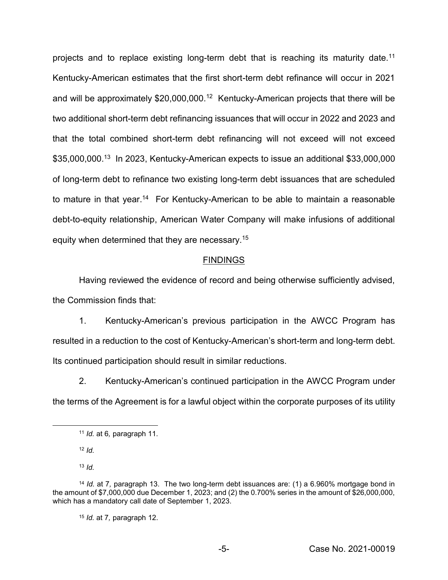projects and to replace existing long-term debt that is reaching its maturity date.<sup>11</sup> Kentucky-American estimates that the first short-term debt refinance will occur in 2021 and will be approximately \$20,000,000.<sup>12</sup> Kentucky-American projects that there will be two additional short-term debt refinancing issuances that will occur in 2022 and 2023 and that the total combined short-term debt refinancing will not exceed will not exceed \$35,000,000.<sup>13</sup> In 2023, Kentucky-American expects to issue an additional \$33,000,000 of long-term debt to refinance two existing long-term debt issuances that are scheduled to mature in that year.<sup>14</sup> For Kentucky-American to be able to maintain a reasonable debt-to-equity relationship, American Water Company will make infusions of additional equity when determined that they are necessary.<sup>15</sup>

#### FINDINGS

Having reviewed the evidence of record and being otherwise sufficiently advised, the Commission finds that:

1. Kentucky-American's previous participation in the AWCC Program has resulted in a reduction to the cost of Kentucky-American's short-term and long-term debt. Its continued participation should result in similar reductions.

2. Kentucky-American's continued participation in the AWCC Program under the terms of the Agreement is for a lawful object within the corporate purposes of its utility

 $12$  *Id.* 

<sup>13</sup> *Id.*

<sup>15</sup> *Id.* at 7*,* paragraph 12.

 <sup>11</sup> *Id.* at 6*,* paragraph 11.

<sup>14</sup> *Id.* at 7*,* paragraph 13. The two long-term debt issuances are: (1) a 6.960% mortgage bond in the amount of \$7,000,000 due December 1, 2023; and (2) the 0.700% series in the amount of \$26,000,000, which has a mandatory call date of September 1, 2023.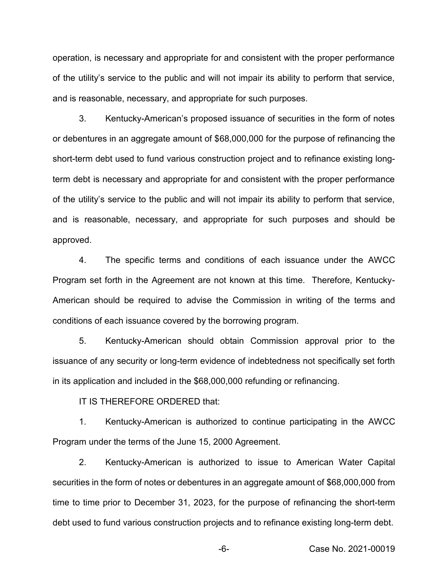operation, is necessary and appropriate for and consistent with the proper performance of the utility's service to the public and will not impair its ability to perform that service, and is reasonable, necessary, and appropriate for such purposes.

3. Kentucky-American's proposed issuance of securities in the form of notes or debentures in an aggregate amount of \$68,000,000 for the purpose of refinancing the short-term debt used to fund various construction project and to refinance existing longterm debt is necessary and appropriate for and consistent with the proper performance of the utility's service to the public and will not impair its ability to perform that service, and is reasonable, necessary, and appropriate for such purposes and should be approved.

4. The specific terms and conditions of each issuance under the AWCC Program set forth in the Agreement are not known at this time. Therefore, Kentucky-American should be required to advise the Commission in writing of the terms and conditions of each issuance covered by the borrowing program.

5. Kentucky-American should obtain Commission approval prior to the issuance of any security or long-term evidence of indebtedness not specifically set forth in its application and included in the \$68,000,000 refunding or refinancing.

IT IS THEREFORE ORDERED that:

1. Kentucky-American is authorized to continue participating in the AWCC Program under the terms of the June 15, 2000 Agreement.

2. Kentucky-American is authorized to issue to American Water Capital securities in the form of notes or debentures in an aggregate amount of \$68,000,000 from time to time prior to December 31, 2023, for the purpose of refinancing the short-term debt used to fund various construction projects and to refinance existing long-term debt.

-6- Case No. 2021-00019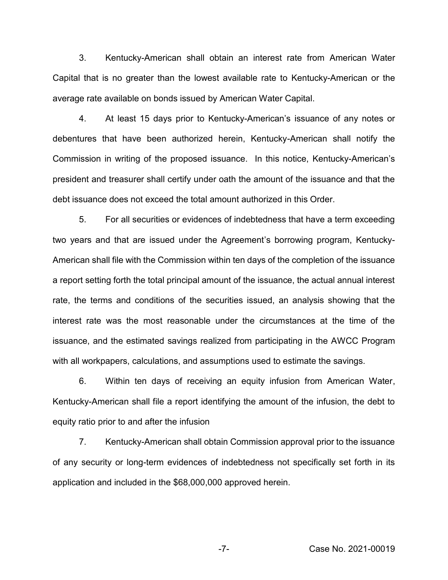3. Kentucky-American shall obtain an interest rate from American Water Capital that is no greater than the lowest available rate to Kentucky-American or the average rate available on bonds issued by American Water Capital.

4. At least 15 days prior to Kentucky-American's issuance of any notes or debentures that have been authorized herein, Kentucky-American shall notify the Commission in writing of the proposed issuance. In this notice, Kentucky-American's president and treasurer shall certify under oath the amount of the issuance and that the debt issuance does not exceed the total amount authorized in this Order.

5. For all securities or evidences of indebtedness that have a term exceeding two years and that are issued under the Agreement's borrowing program, Kentucky-American shall file with the Commission within ten days of the completion of the issuance a report setting forth the total principal amount of the issuance, the actual annual interest rate, the terms and conditions of the securities issued, an analysis showing that the interest rate was the most reasonable under the circumstances at the time of the issuance, and the estimated savings realized from participating in the AWCC Program with all workpapers, calculations, and assumptions used to estimate the savings.

6. Within ten days of receiving an equity infusion from American Water, Kentucky-American shall file a report identifying the amount of the infusion, the debt to equity ratio prior to and after the infusion

7. Kentucky-American shall obtain Commission approval prior to the issuance of any security or long-term evidences of indebtedness not specifically set forth in its application and included in the \$68,000,000 approved herein.

-7- Case No. 2021-00019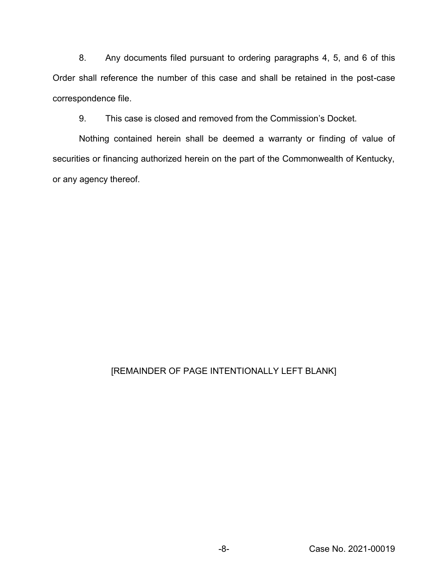8. Any documents filed pursuant to ordering paragraphs 4, 5, and 6 of this Order shall reference the number of this case and shall be retained in the post-case correspondence file.

9. This case is closed and removed from the Commission's Docket.

Nothing contained herein shall be deemed a warranty or finding of value of securities or financing authorized herein on the part of the Commonwealth of Kentucky, or any agency thereof.

# [REMAINDER OF PAGE INTENTIONALLY LEFT BLANK]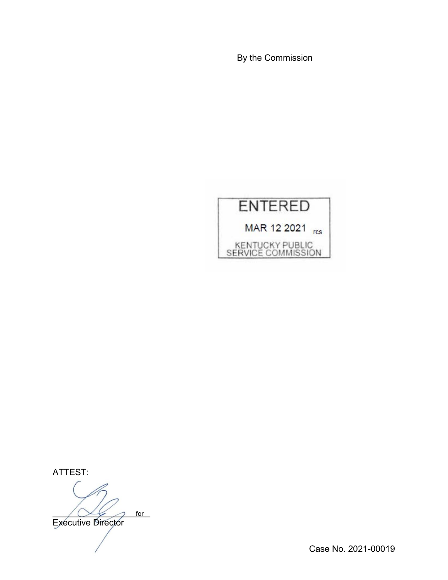By the Commission



ATTEST:

 $\sim$   $\sim$  for Executive Director for

Case No. 2021-00019